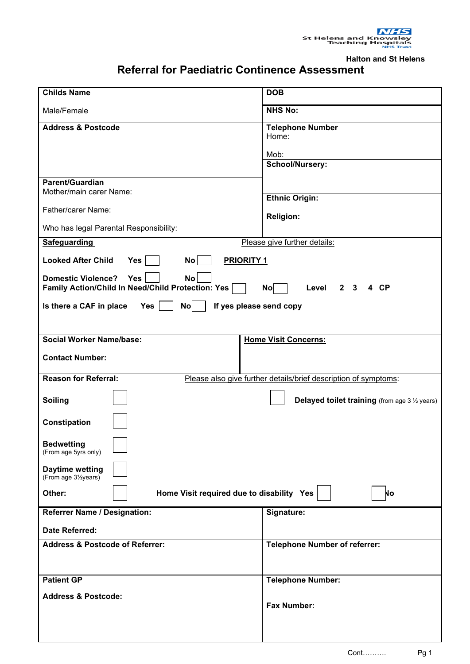**Halton and St Helens**

## **Referral for Paediatric Continence Assessment**

| <b>Childs Name</b>                                                                                                                       | <b>DOB</b>                                            |
|------------------------------------------------------------------------------------------------------------------------------------------|-------------------------------------------------------|
| Male/Female                                                                                                                              | <b>NHS No:</b>                                        |
| <b>Address &amp; Postcode</b>                                                                                                            | <b>Telephone Number</b><br>Home:<br>Mob:              |
|                                                                                                                                          | School/Nursery:                                       |
| <b>Parent/Guardian</b><br>Mother/main carer Name:                                                                                        |                                                       |
| Father/carer Name:                                                                                                                       | <b>Ethnic Origin:</b>                                 |
|                                                                                                                                          | <b>Religion:</b>                                      |
| Who has legal Parental Responsibility:                                                                                                   |                                                       |
| <b>Safeguarding</b><br>Please give further details:                                                                                      |                                                       |
| <b>Looked After Child</b><br>Yes<br>No<br><b>PRIORITY 1</b>                                                                              |                                                       |
| <b>Domestic Violence?</b><br>Yes<br><b>No</b><br>Family Action/Child In Need/Child Protection: Yes<br>$2 \quad 3$<br>4 CP<br>No<br>Level |                                                       |
| Is there a CAF in place<br><b>Yes</b><br>No<br>If yes please send copy                                                                   |                                                       |
|                                                                                                                                          |                                                       |
| <b>Social Worker Name/base:</b>                                                                                                          | <b>Home Visit Concerns:</b>                           |
| <b>Contact Number:</b>                                                                                                                   |                                                       |
| <b>Reason for Referral:</b><br>Please also give further details/brief description of symptoms:                                           |                                                       |
| <b>Soiling</b>                                                                                                                           | <b>Delayed toilet training</b> (from age 3 1/2 years) |
| Constipation                                                                                                                             |                                                       |
| <b>Bedwetting</b><br>(From age 5yrs only)                                                                                                |                                                       |
| <b>Daytime wetting</b><br>(From age 31/2years)                                                                                           |                                                       |
| Home Visit required due to disability Yes<br>Other:<br>No                                                                                |                                                       |
| <b>Referrer Name / Designation:</b>                                                                                                      | Signature:                                            |
| <b>Date Referred:</b>                                                                                                                    |                                                       |
| <b>Address &amp; Postcode of Referrer:</b>                                                                                               | <b>Telephone Number of referrer:</b>                  |
|                                                                                                                                          |                                                       |
| <b>Patient GP</b>                                                                                                                        | <b>Telephone Number:</b>                              |
| <b>Address &amp; Postcode:</b>                                                                                                           |                                                       |
|                                                                                                                                          | <b>Fax Number:</b>                                    |
|                                                                                                                                          |                                                       |